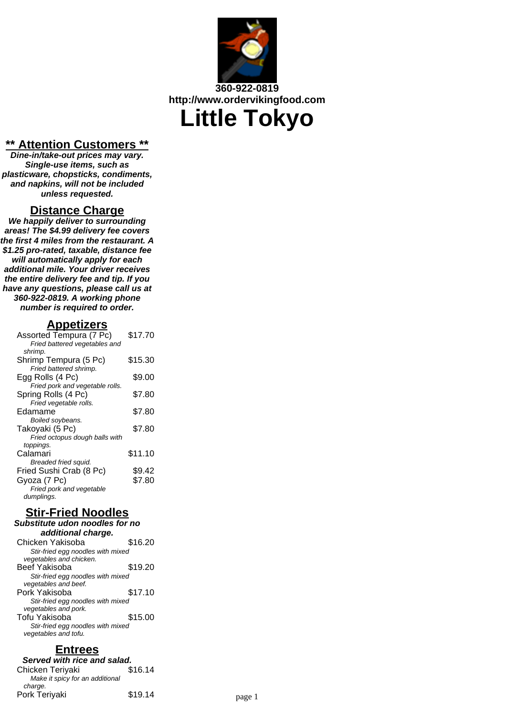

#### **\*\* Attention Customers \*\***

**Dine-in/take-out prices may vary. Single-use items, such as plasticware, chopsticks, condiments, and napkins, will not be included unless requested.**

#### **Distance Charge**

**We happily deliver to surrounding areas! The \$4.99 delivery fee covers the first 4 miles from the restaurant. A \$1.25 pro-rated, taxable, distance fee will automatically apply for each additional mile. Your driver receives the entire delivery fee and tip. If you have any questions, please call us at 360-922-0819. A working phone number is required to order.**

#### **Appetizers**

| Assorted Tempura (7 Pc)         | \$17.70 |
|---------------------------------|---------|
| Fried battered vegetables and   |         |
| shrimp.                         |         |
| Shrimp Tempura (5 Pc)           | \$15.30 |
| Fried battered shrimp.          |         |
| Egg Rolls (4 Pc)                | \$9.00  |
| Fried pork and vegetable rolls. |         |
| Spring Rolls (4 Pc)             | \$7.80  |
| Fried vegetable rolls.          |         |
| Edamame                         | \$7.80  |
| Boiled soybeans.                |         |
| Takoyaki (5 Pc)                 | \$7.80  |
| Fried octopus dough balls with  |         |
| toppings.                       |         |
| Calamari                        | \$11.10 |
| Breaded fried squid.            |         |
| Fried Sushi Crab (8 Pc)         | \$9.42  |
| Gvoza (7 Pc)                    | \$7.80  |
| Fried pork and vegetable        |         |
| dumplings.                      |         |
|                                 |         |

### **Stir-Fried Noodles**

#### **Substitute udon noodles for no additional charge.**

| Chicken Yakisoba                  | \$16.20 |
|-----------------------------------|---------|
| Stir-fried egg noodles with mixed |         |
| vegetables and chicken.           |         |
| Beef Yakisoba                     | \$19.20 |
| Stir-fried egg noodles with mixed |         |
| vegetables and beef.              |         |
| Pork Yakisoba                     | \$17.10 |
| Stir-fried egg noodles with mixed |         |
| vegetables and pork.              |         |
| Tofu Yakisoba                     | \$15.00 |
| Stir-fried egg noodles with mixed |         |
| vegetables and tofu.              |         |
|                                   |         |

## **Entrees**

**Served with rice and salad.**<br>hicken Teriyaki **\$16.14** Chicken Teriyaki Make it spicy for an additional charge. Pork Teriyaki  $$19.14$  page 1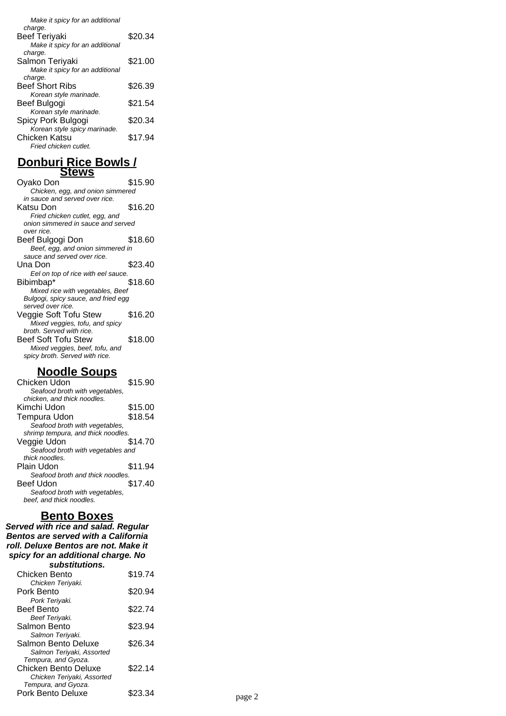| Make it spicy for an additional |         |
|---------------------------------|---------|
| charge.                         |         |
| <b>Beef Teriyaki</b>            | \$20.34 |
| Make it spicy for an additional |         |
| charge.                         |         |
| Salmon Terivaki                 | \$21.00 |
| Make it spicy for an additional |         |
| charge.                         |         |
| <b>Beef Short Ribs</b>          | \$26.39 |
| Korean style marinade.          |         |
| Beef Bulgogi                    | \$21.54 |
| Korean style marinade.          |         |
| Spicy Pork Bulgogi              | \$20.34 |
| Korean style spicy marinade.    |         |
| Chicken Katsu                   | \$17.94 |
| Fried chicken cutlet.           |         |
|                                 |         |

#### **Donburi Rice Bowls / Stews**

| Ovako Don                           | \$15.90 |
|-------------------------------------|---------|
| Chicken, egg, and onion simmered    |         |
| in sauce and served over rice.      |         |
| Katsu Don                           | \$16.20 |
| Fried chicken cutlet, egg, and      |         |
| onion simmered in sauce and served  |         |
| over rice.                          |         |
| Beef Bulgogi Don                    | \$18.60 |
| Beef, egg, and onion simmered in    |         |
| sauce and served over rice.         |         |
| Una Don                             | \$23.40 |
| Eel on top of rice with eel sauce.  |         |
| Bibimbap*                           | \$18.60 |
| Mixed rice with vegetables, Beef    |         |
| Bulgogi, spicy sauce, and fried egg |         |
| served over rice.                   |         |
| Veggie Soft Tofu Stew               | \$16.20 |
| Mixed veggies, tofu, and spicy      |         |
| broth. Served with rice.            |         |
| <b>Beef Soft Tofu Stew</b>          | \$18.00 |
| Mixed veggies, beef, tofu, and      |         |
| spicy broth. Served with rice.      |         |
|                                     |         |

## **Noodle Soups**

| Chicken Udon                       | \$15.90 |
|------------------------------------|---------|
| Seafood broth with vegetables,     |         |
| chicken, and thick noodles.        |         |
| Kimchi Udon                        | \$15.00 |
| Tempura Udon                       | \$18.54 |
| Seafood broth with vegetables,     |         |
| shrimp tempura, and thick noodles. |         |
| Veggie Udon                        | \$14.70 |
| Seafood broth with vegetables and  |         |
| thick noodles.                     |         |
| Plain Udon                         | \$11.94 |
| Seafood broth and thick noodles.   |         |
| Beef Udon                          | \$17.40 |
| Seafood broth with vegetables,     |         |
| beef, and thick noodles.           |         |

#### **Bento Boxes**

**Served with rice and salad. Regular Bentos are served with a California roll. Deluxe Bentos are not. Make it spicy for an additional charge. No substitutions.**

| ouwouwuvno.                         |         |        |
|-------------------------------------|---------|--------|
| Chicken Bento                       | \$19.74 |        |
| Chicken Teriyaki.                   |         |        |
| Pork Bento                          | \$20.94 |        |
| Pork Teriyaki.                      |         |        |
| <b>Beef Bento</b><br>Beef Teriyaki. | \$22.74 |        |
| Salmon Bento                        | \$23.94 |        |
| Salmon Teriyaki.                    |         |        |
| Salmon Bento Deluxe                 | \$26.34 |        |
| Salmon Teriyaki, Assorted           |         |        |
| Tempura, and Gyoza.                 |         |        |
| Chicken Bento Deluxe                | \$22.14 |        |
| Chicken Teriyaki, Assorted          |         |        |
| Tempura, and Gyoza.                 |         |        |
| Pork Bento Deluxe                   | \$23.34 | page 2 |
|                                     |         |        |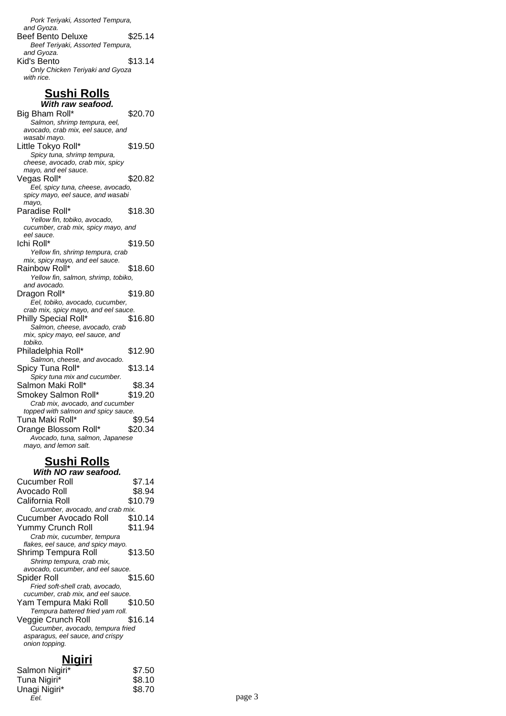Pork Teriyaki, Assorted Tempura, and Gyoza. Beef Bento Deluxe \$25.14 Beef Teriyaki, Assorted Tempura, and Gyoza. Kid's Bento  $$13.14$ Only Chicken Teriyaki and Gyoza with rice.

## **Sushi Rolls**

| With raw seafood.                                                   |         |
|---------------------------------------------------------------------|---------|
| Big Bham Roll*                                                      | \$20.70 |
| Salmon, shrimp tempura, eel,                                        |         |
| avocado, crab mix, eel sauce, and                                   |         |
| wasabi mayo.                                                        |         |
| Little Tokyo Roll*                                                  | \$19.50 |
| Spicy tuna, shrimp tempura,                                         |         |
| cheese, avocado, crab mix, spicy                                    |         |
| mayo, and eel sauce.                                                |         |
| Vegas Roll*                                                         | \$20.82 |
| Eel, spicy tuna, cheese, avocado,                                   |         |
| spicy mayo, eel sauce, and wasabi                                   |         |
| mayo,<br>Paradise Roll*                                             |         |
|                                                                     | \$18.30 |
| Yellow fin, tobiko, avocado,<br>cucumber, crab mix, spicy mayo, and |         |
| eel sauce.                                                          |         |
| Ichi Roll*                                                          | \$19.50 |
| Yellow fin, shrimp tempura, crab                                    |         |
| mix, spicy mayo, and eel sauce.                                     |         |
| Rainbow Roll*                                                       | \$18.60 |
| Yellow fin, salmon, shrimp, tobiko,                                 |         |
| and avocado.                                                        |         |
| Dragon Roll*                                                        | \$19.80 |
| Eel, tobiko, avocado, cucumber,                                     |         |
| crab mix, spicy mayo, and eel sauce.                                |         |
| Philly Special Roll*                                                | \$16.80 |
| Salmon, cheese, avocado, crab                                       |         |
| mix, spicy mayo, eel sauce, and                                     |         |
| tobiko.                                                             |         |
| Philadelphia Roll*                                                  | \$12.90 |
| Salmon, cheese, and avocado.                                        |         |
| Spicy Tuna Roll*                                                    | \$13.14 |
| Spicy tuna mix and cucumber.                                        |         |
| Salmon Maki Roll*                                                   | \$8.34  |
| Smokey Salmon Roll*                                                 | \$19.20 |
| Crab mix, avocado, and cucumber                                     |         |
| topped with salmon and spicy sauce.                                 |         |
| Tuna Maki Roll*                                                     | \$9.54  |
| Orange Blossom Roll*                                                | \$20.34 |
| Avocado, tuna, salmon, Japanese                                     |         |
| mayo, and lemon salt.                                               |         |
|                                                                     |         |

# **Sushi Rolls**

| With NO raw seafood.               |         |
|------------------------------------|---------|
| <b>Cucumber Roll</b>               | \$7.14  |
| Avocado Roll                       | \$8.94  |
| California Roll                    | \$10.79 |
| Cucumber, avocado, and crab mix.   |         |
| Cucumber Avocado Roll              | \$10.14 |
| Yummy Crunch Roll                  | \$11.94 |
| Crab mix, cucumber, tempura        |         |
| flakes, eel sauce, and spicy mayo. |         |
| Shrimp Tempura Roll                | \$13.50 |
| Shrimp tempura, crab mix,          |         |
| avocado, cucumber, and eel sauce.  |         |
| Spider Roll                        | \$15.60 |
| Fried soft-shell crab, avocado,    |         |
| cucumber, crab mix, and eel sauce. |         |
| Yam Tempura Maki Roll              | \$10.50 |
| Tempura battered fried yam roll.   |         |
| Veggie Crunch Roll                 | \$16.14 |
| Cucumber, avocado, tempura fried   |         |
| asparagus, eel sauce, and crispy   |         |
| onion topping.                     |         |
|                                    |         |

## **Nigiri**

| Salmon Nigiri* | \$7.50 |        |
|----------------|--------|--------|
| Tuna Nigiri*   | \$8.10 |        |
| Unagi Nigiri*  | \$8.70 |        |
| Eel.           |        | page 3 |